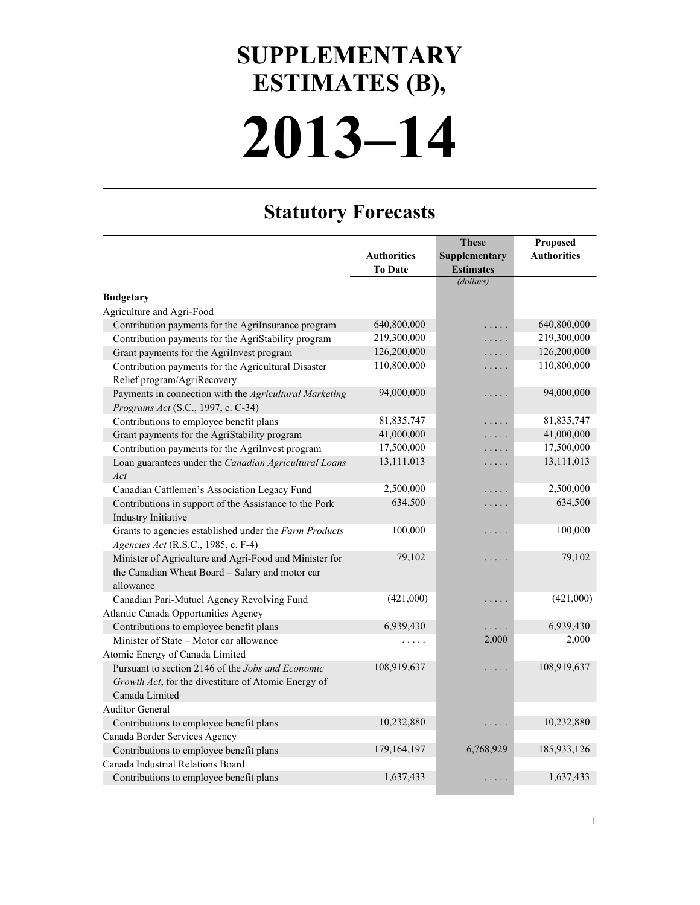## **2013–14 SUPPLEMENTARY ESTIMATES (B),**

## **Statutory Forecasts**

|                                                        |                    | <b>These</b>     | Proposed           |
|--------------------------------------------------------|--------------------|------------------|--------------------|
|                                                        | <b>Authorities</b> | Supplementary    | <b>Authorities</b> |
|                                                        | <b>To Date</b>     | <b>Estimates</b> |                    |
|                                                        |                    | (dollars)        |                    |
| <b>Budgetary</b>                                       |                    |                  |                    |
| Agriculture and Agri-Food                              |                    |                  |                    |
| Contribution payments for the AgriInsurance program    | 640,800,000        | .                | 640,800,000        |
| Contribution payments for the AgriStability program    | 219,300,000        | .                | 219,300,000        |
| Grant payments for the AgriInvest program              | 126,200,000        | $\cdots$         | 126,200,000        |
| Contribution payments for the Agricultural Disaster    | 110,800,000        | .                | 110,800,000        |
| Relief program/AgriRecovery                            |                    |                  |                    |
| Payments in connection with the Agricultural Marketing | 94,000,000         | .                | 94,000,000         |
| Programs Act (S.C., 1997, c. C-34)                     |                    |                  |                    |
| Contributions to employee benefit plans                | 81,835,747         | .                | 81,835,747         |
| Grant payments for the AgriStability program           | 41,000,000         | .                | 41,000,000         |
| Contribution payments for the AgriInvest program       | 17,500,000         | .                | 17,500,000         |
| Loan guarantees under the Canadian Agricultural Loans  | 13,111,013         | .                | 13,111,013         |
| Act                                                    |                    |                  |                    |
| Canadian Cattlemen's Association Legacy Fund           | 2,500,000          | .                | 2,500,000          |
| Contributions in support of the Assistance to the Pork | 634,500            | .                | 634,500            |
| Industry Initiative                                    |                    |                  |                    |
| Grants to agencies established under the Farm Products | 100,000            | $\cdots\cdots$   | 100,000            |
| Agencies Act (R.S.C., 1985, c. F-4)                    |                    |                  |                    |
| Minister of Agriculture and Agri-Food and Minister for | 79,102             | $\cdots\cdots$   | 79,102             |
| the Canadian Wheat Board - Salary and motor car        |                    |                  |                    |
| allowance                                              |                    |                  |                    |
| Canadian Pari-Mutuel Agency Revolving Fund             | (421,000)          | $\cdots\cdots$   | (421,000)          |
| Atlantic Canada Opportunities Agency                   |                    |                  |                    |
| Contributions to employee benefit plans                | 6,939,430          |                  | 6,939,430          |
| Minister of State - Motor car allowance                |                    | 2,000            | 2,000              |
| Atomic Energy of Canada Limited                        |                    |                  |                    |
| Pursuant to section 2146 of the Jobs and Economic      | 108,919,637        | $\cdots\cdots$   | 108,919,637        |
| Growth Act, for the divestiture of Atomic Energy of    |                    |                  |                    |
| Canada Limited                                         |                    |                  |                    |
| <b>Auditor General</b>                                 |                    |                  |                    |
| Contributions to employee benefit plans                | 10,232,880         |                  | 10,232,880         |
| Canada Border Services Agency                          |                    |                  |                    |
| Contributions to employee benefit plans                | 179,164,197        | 6,768,929        | 185,933,126        |
| Canada Industrial Relations Board                      |                    |                  |                    |
| Contributions to employee benefit plans                | 1,637,433          | .                | 1,637,433          |
|                                                        |                    |                  |                    |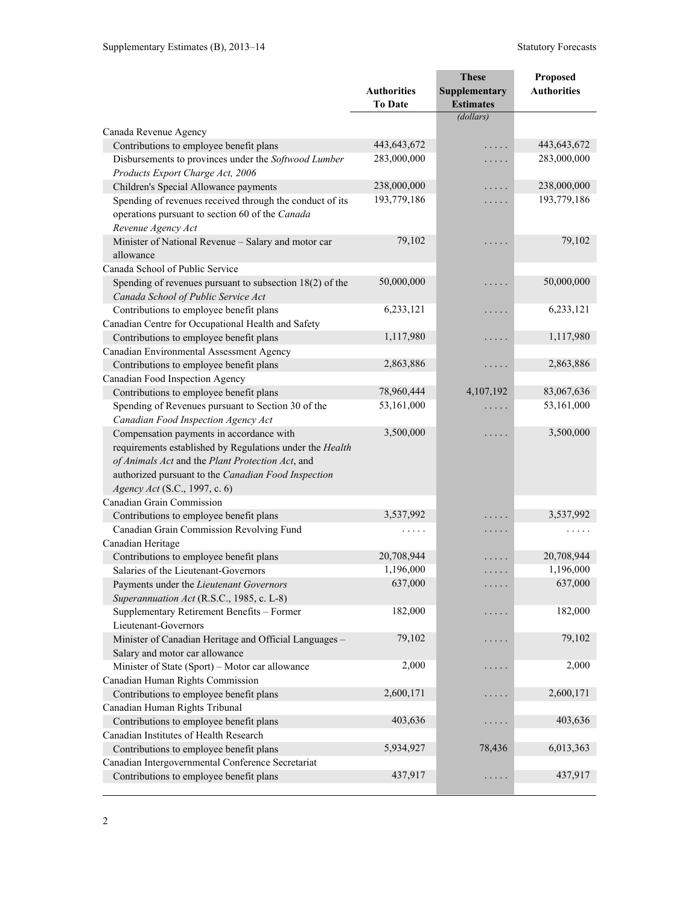|                                                            |                    | <b>These</b>         | Proposed           |
|------------------------------------------------------------|--------------------|----------------------|--------------------|
|                                                            | <b>Authorities</b> | Supplementary        | <b>Authorities</b> |
|                                                            | <b>To Date</b>     | <b>Estimates</b>     |                    |
|                                                            |                    | (dollars)            |                    |
| Canada Revenue Agency                                      |                    |                      |                    |
| Contributions to employee benefit plans                    | 443,643,672        | .                    | 443,643,672        |
| Disbursements to provinces under the Softwood Lumber       | 283,000,000        | .                    | 283,000,000        |
| Products Export Charge Act, 2006                           |                    |                      |                    |
| Children's Special Allowance payments                      | 238,000,000        | .                    | 238,000,000        |
| Spending of revenues received through the conduct of its   | 193,779,186        | .                    | 193,779,186        |
| operations pursuant to section 60 of the Canada            |                    |                      |                    |
| Revenue Agency Act                                         |                    |                      |                    |
| Minister of National Revenue - Salary and motor car        | 79,102             | .                    | 79,102             |
| allowance                                                  |                    |                      |                    |
| Canada School of Public Service                            |                    |                      |                    |
| Spending of revenues pursuant to subsection $18(2)$ of the | 50,000,000         | .                    | 50,000,000         |
| Canada School of Public Service Act                        |                    |                      |                    |
| Contributions to employee benefit plans                    | 6,233,121          | .                    | 6,233,121          |
| Canadian Centre for Occupational Health and Safety         |                    |                      |                    |
| Contributions to employee benefit plans                    | 1,117,980          | .                    | 1,117,980          |
| Canadian Environmental Assessment Agency                   |                    |                      |                    |
| Contributions to employee benefit plans                    | 2,863,886          | .                    | 2,863,886          |
| Canadian Food Inspection Agency                            |                    |                      |                    |
| Contributions to employee benefit plans                    | 78,960,444         | 4,107,192            | 83,067,636         |
| Spending of Revenues pursuant to Section 30 of the         | 53,161,000         | $\cdots$             | 53,161,000         |
| Canadian Food Inspection Agency Act                        |                    |                      |                    |
| Compensation payments in accordance with                   | 3,500,000          | .                    | 3,500,000          |
| requirements established by Regulations under the Health   |                    |                      |                    |
| of Animals Act and the Plant Protection Act, and           |                    |                      |                    |
| authorized pursuant to the Canadian Food Inspection        |                    |                      |                    |
| Agency Act (S.C., 1997, c. 6)                              |                    |                      |                    |
| Canadian Grain Commission                                  |                    |                      |                    |
| Contributions to employee benefit plans                    | 3,537,992          |                      | 3,537,992          |
| Canadian Grain Commission Revolving Fund                   | .                  | $\cdots$             | .                  |
| Canadian Heritage                                          |                    |                      |                    |
| Contributions to employee benefit plans                    | 20,708,944         |                      | 20,708,944         |
| Salaries of the Lieutenant-Governors                       | 1,196,000          | $\cdots\cdots$       | 1,196,000          |
| Payments under the Lieutenant Governors                    | 637,000            |                      | 637,000            |
| Superannuation Act (R.S.C., 1985, c. L-8)                  |                    |                      |                    |
| Supplementary Retirement Benefits - Former                 | 182,000            | .                    | 182,000            |
| Lieutenant-Governors                                       |                    |                      |                    |
| Minister of Canadian Heritage and Official Languages -     | 79,102             | .                    | 79,102             |
| Salary and motor car allowance                             |                    |                      |                    |
| Minister of State (Sport) - Motor car allowance            | 2,000              | .                    | 2,000              |
| Canadian Human Rights Commission                           |                    |                      |                    |
| Contributions to employee benefit plans                    | 2,600,171          | .                    | 2,600,171          |
| Canadian Human Rights Tribunal                             |                    |                      |                    |
| Contributions to employee benefit plans                    | 403,636            | .                    | 403,636            |
| Canadian Institutes of Health Research                     |                    |                      |                    |
| Contributions to employee benefit plans                    | 5,934,927          | 78,436               | 6,013,363          |
| Canadian Intergovernmental Conference Secretariat          |                    |                      |                    |
| Contributions to employee benefit plans                    | 437,917            | $\cdots\cdots\cdots$ | 437,917            |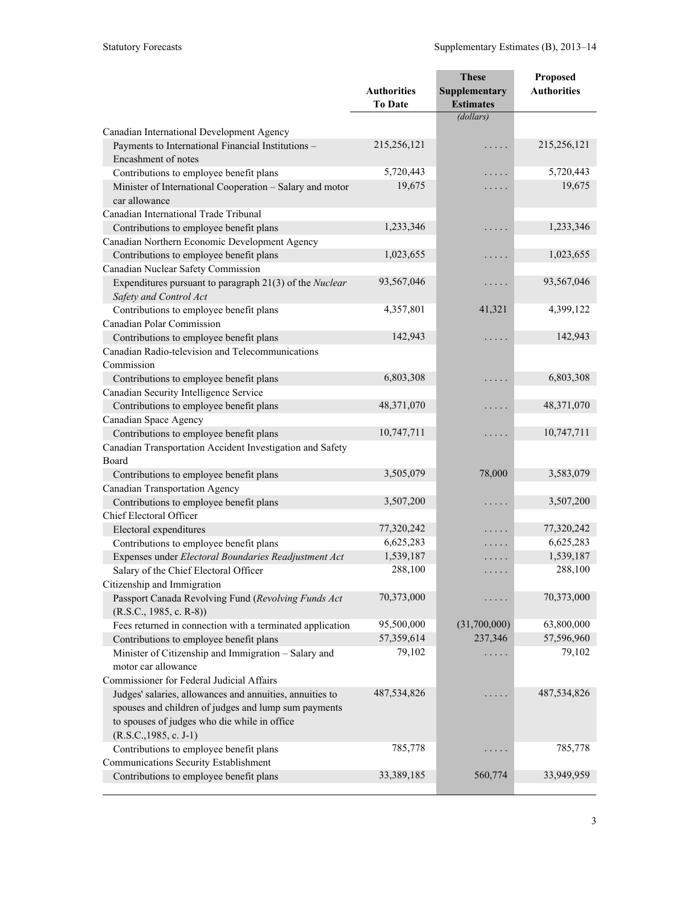|                                                                                   |                    | <b>These</b>     | Proposed           |
|-----------------------------------------------------------------------------------|--------------------|------------------|--------------------|
|                                                                                   | <b>Authorities</b> | Supplementary    | <b>Authorities</b> |
|                                                                                   | <b>To Date</b>     | <b>Estimates</b> |                    |
|                                                                                   |                    | (dollars)        |                    |
| Canadian International Development Agency                                         |                    |                  |                    |
| Payments to International Financial Institutions -<br>Encashment of notes         | 215,256,121        | .                | 215,256,121        |
| Contributions to employee benefit plans                                           | 5,720,443          | .                | 5,720,443          |
| Minister of International Cooperation - Salary and motor<br>car allowance         | 19,675             | .                | 19,675             |
| Canadian International Trade Tribunal                                             |                    |                  |                    |
| Contributions to employee benefit plans                                           | 1,233,346          | .                | 1,233,346          |
| Canadian Northern Economic Development Agency                                     |                    |                  |                    |
| Contributions to employee benefit plans                                           | 1,023,655          | .                | 1,023,655          |
| Canadian Nuclear Safety Commission                                                |                    |                  |                    |
| Expenditures pursuant to paragraph 21(3) of the Nuclear<br>Safety and Control Act | 93,567,046         | .                | 93,567,046         |
| Contributions to employee benefit plans<br>Canadian Polar Commission              | 4,357,801          | 41,321           | 4,399,122          |
| Contributions to employee benefit plans                                           | 142,943            | .                | 142,943            |
| Canadian Radio-television and Telecommunications<br>Commission                    |                    |                  |                    |
| Contributions to employee benefit plans                                           | 6,803,308          | .                | 6,803,308          |
| Canadian Security Intelligence Service                                            |                    |                  |                    |
| Contributions to employee benefit plans                                           | 48,371,070         | .                | 48,371,070         |
| Canadian Space Agency                                                             |                    |                  |                    |
| Contributions to employee benefit plans                                           | 10,747,711         | .                | 10,747,711         |
| Canadian Transportation Accident Investigation and Safety                         |                    |                  |                    |
| Board                                                                             |                    |                  |                    |
| Contributions to employee benefit plans                                           | 3,505,079          | 78,000           | 3,583,079          |
| <b>Canadian Transportation Agency</b>                                             |                    |                  |                    |
| Contributions to employee benefit plans                                           | 3,507,200          | .                | 3,507,200          |
| <b>Chief Electoral Officer</b>                                                    |                    |                  |                    |
| Electoral expenditures                                                            | 77,320,242         | .                | 77,320,242         |
| Contributions to employee benefit plans                                           | 6,625,283          | .                | 6,625,283          |
| Expenses under Electoral Boundaries Readjustment Act                              | 1,539,187          | .                | 1,539,187          |
| Salary of the Chief Electoral Officer                                             | 288,100            | $\cdots\cdots$   | 288,100            |
| Citizenship and Immigration                                                       |                    |                  |                    |
| Passport Canada Revolving Fund (Revolving Funds Act<br>$(R.S.C., 1985, c. R-8))$  | 70,373,000         |                  | 70,373,000         |
| Fees returned in connection with a terminated application                         | 95,500,000         | (31,700,000)     | 63,800,000         |
| Contributions to employee benefit plans                                           | 57,359,614         | 237,346          | 57,596,960         |
| Minister of Citizenship and Immigration - Salary and<br>motor car allowance       | 79,102             |                  | 79,102             |
| Commissioner for Federal Judicial Affairs                                         |                    |                  |                    |
| Judges' salaries, allowances and annuities, annuities to                          | 487,534,826        | .                | 487,534,826        |
| spouses and children of judges and lump sum payments                              |                    |                  |                    |
| to spouses of judges who die while in office                                      |                    |                  |                    |
| $(R.S.C., 1985, c. J-1)$                                                          |                    |                  |                    |
| Contributions to employee benefit plans                                           | 785,778            |                  | 785,778            |
| Communications Security Establishment                                             |                    |                  |                    |
| Contributions to employee benefit plans                                           | 33,389,185         | 560,774          | 33,949,959         |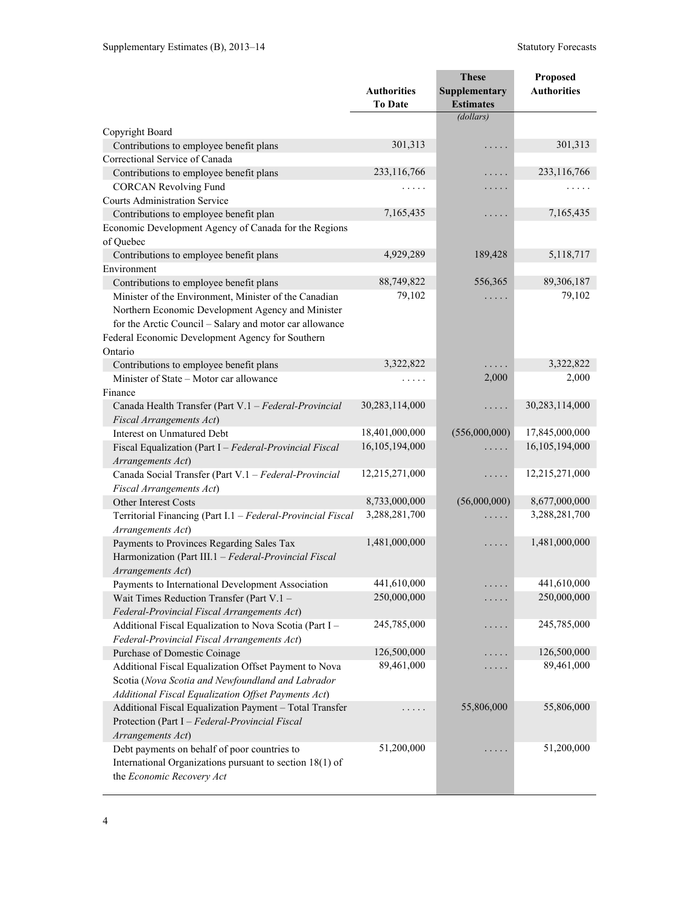|                                                                                   | <b>Authorities</b><br><b>To Date</b> | <b>These</b><br>Supplementary<br><b>Estimates</b> | Proposed<br><b>Authorities</b> |
|-----------------------------------------------------------------------------------|--------------------------------------|---------------------------------------------------|--------------------------------|
|                                                                                   |                                      | (dollars)                                         |                                |
| Copyright Board                                                                   |                                      |                                                   |                                |
| Contributions to employee benefit plans                                           | 301,313                              | .                                                 | 301,313                        |
| Correctional Service of Canada                                                    |                                      |                                                   |                                |
| Contributions to employee benefit plans                                           | 233,116,766                          | .                                                 | 233,116,766                    |
| <b>CORCAN Revolving Fund</b>                                                      | $\ldots$                             | $\cdots\cdots$                                    | $\ldots$                       |
| <b>Courts Administration Service</b>                                              |                                      |                                                   |                                |
| Contributions to employee benefit plan                                            | 7,165,435                            | $\cdots\cdots$                                    | 7,165,435                      |
| Economic Development Agency of Canada for the Regions                             |                                      |                                                   |                                |
| of Quebec                                                                         |                                      |                                                   |                                |
| Contributions to employee benefit plans                                           | 4,929,289                            | 189,428                                           | 5,118,717                      |
| Environment                                                                       |                                      |                                                   |                                |
| Contributions to employee benefit plans                                           | 88,749,822                           | 556,365                                           | 89,306,187                     |
| Minister of the Environment, Minister of the Canadian                             | 79,102                               | $\cdots$                                          | 79,102                         |
| Northern Economic Development Agency and Minister                                 |                                      |                                                   |                                |
| for the Arctic Council - Salary and motor car allowance                           |                                      |                                                   |                                |
| Federal Economic Development Agency for Southern                                  |                                      |                                                   |                                |
| Ontario                                                                           |                                      |                                                   |                                |
| Contributions to employee benefit plans                                           | 3,322,822                            |                                                   | 3,322,822                      |
| Minister of State - Motor car allowance                                           | $\ldots$                             | 2,000                                             | 2,000                          |
| Finance                                                                           |                                      |                                                   |                                |
| Canada Health Transfer (Part V.1 - Federal-Provincial                             | 30,283,114,000                       | .                                                 | 30,283,114,000                 |
| Fiscal Arrangements Act)                                                          | 18,401,000,000                       | (556,000,000)                                     | 17,845,000,000                 |
| Interest on Unmatured Debt                                                        | 16,105,194,000                       |                                                   | 16,105,194,000                 |
| Fiscal Equalization (Part I - Federal-Provincial Fiscal                           |                                      | .                                                 |                                |
| Arrangements Act)                                                                 | 12,215,271,000                       |                                                   | 12,215,271,000                 |
| Canada Social Transfer (Part V.1 - Federal-Provincial<br>Fiscal Arrangements Act) |                                      | .                                                 |                                |
| <b>Other Interest Costs</b>                                                       | 8,733,000,000                        | (56,000,000)                                      | 8,677,000,000                  |
| Territorial Financing (Part I.1 - Federal-Provincial Fiscal                       | 3,288,281,700                        |                                                   | 3,288,281,700                  |
| Arrangements Act)                                                                 |                                      | $\ldots$                                          |                                |
| Payments to Provinces Regarding Sales Tax                                         | 1,481,000,000                        | $\ldots$                                          | 1,481,000,000                  |
| Harmonization (Part III.1 - Federal-Provincial Fiscal                             |                                      |                                                   |                                |
| Arrangements Act)                                                                 |                                      |                                                   |                                |
| Payments to International Development Association                                 | 441,610,000                          | .                                                 | 441,610,000                    |
| Wait Times Reduction Transfer (Part V.1 -                                         | 250,000,000                          | .                                                 | 250,000,000                    |
| Federal-Provincial Fiscal Arrangements Act)                                       |                                      |                                                   |                                |
| Additional Fiscal Equalization to Nova Scotia (Part I -                           | 245,785,000                          | .                                                 | 245,785,000                    |
| Federal-Provincial Fiscal Arrangements Act)                                       |                                      |                                                   |                                |
| Purchase of Domestic Coinage                                                      | 126,500,000                          | د د د د                                           | 126,500,000                    |
| Additional Fiscal Equalization Offset Payment to Nova                             | 89,461,000                           | .                                                 | 89,461,000                     |
| Scotia (Nova Scotia and Newfoundland and Labrador                                 |                                      |                                                   |                                |
| Additional Fiscal Equalization Offset Payments Act)                               |                                      |                                                   |                                |
| Additional Fiscal Equalization Payment - Total Transfer                           | .                                    | 55,806,000                                        | 55,806,000                     |
| Protection (Part I - Federal-Provincial Fiscal                                    |                                      |                                                   |                                |
| Arrangements Act)                                                                 |                                      |                                                   |                                |
| Debt payments on behalf of poor countries to                                      | 51,200,000                           | .                                                 | 51,200,000                     |
| International Organizations pursuant to section 18(1) of                          |                                      |                                                   |                                |
| the Economic Recovery Act                                                         |                                      |                                                   |                                |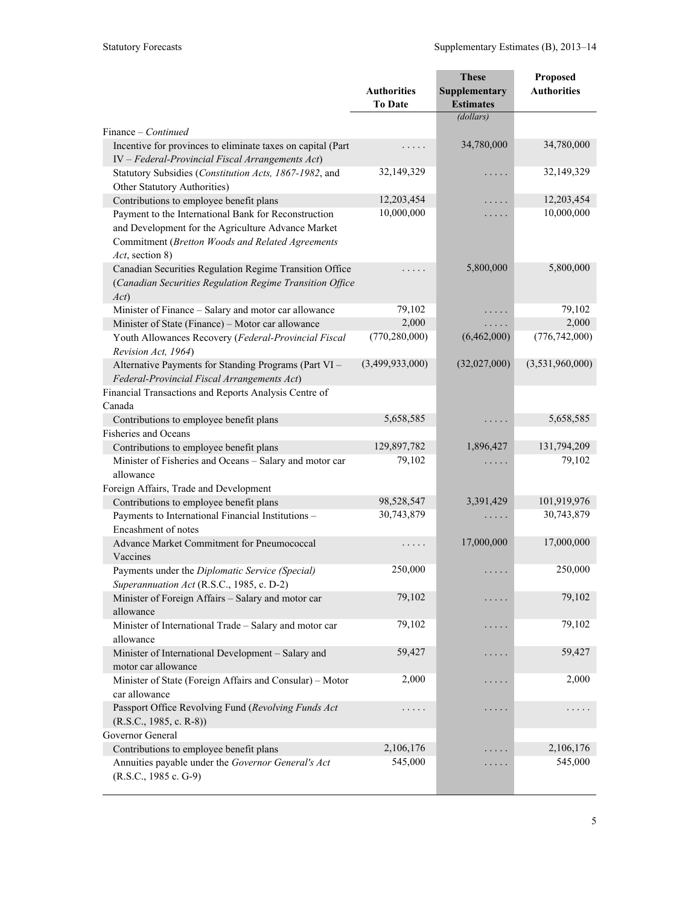|                                                                                                                                                                |                                      | <b>These</b>                      | Proposed           |
|----------------------------------------------------------------------------------------------------------------------------------------------------------------|--------------------------------------|-----------------------------------|--------------------|
|                                                                                                                                                                | <b>Authorities</b><br><b>To Date</b> | Supplementary<br><b>Estimates</b> | <b>Authorities</b> |
|                                                                                                                                                                |                                      | (dollars)                         |                    |
| Finance - Continued                                                                                                                                            |                                      |                                   |                    |
| Incentive for provinces to eliminate taxes on capital (Part<br>IV - Federal-Provincial Fiscal Arrangements Act)                                                | .                                    | 34,780,000                        | 34,780,000         |
| Statutory Subsidies (Constitution Acts, 1867-1982, and<br>Other Statutory Authorities)                                                                         | 32,149,329                           | .                                 | 32,149,329         |
| Contributions to employee benefit plans                                                                                                                        | 12,203,454                           | .                                 | 12,203,454         |
| Payment to the International Bank for Reconstruction<br>and Development for the Agriculture Advance Market<br>Commitment (Bretton Woods and Related Agreements | 10,000,000                           | .                                 | 10,000,000         |
| Act, section 8)                                                                                                                                                |                                      |                                   |                    |
| Canadian Securities Regulation Regime Transition Office<br>(Canadian Securities Regulation Regime Transition Office<br>Act)                                    | .                                    | 5,800,000                         | 5,800,000          |
| Minister of Finance - Salary and motor car allowance                                                                                                           | 79,102                               |                                   | 79,102             |
| Minister of State (Finance) - Motor car allowance                                                                                                              | 2,000                                |                                   | 2,000              |
| Youth Allowances Recovery (Federal-Provincial Fiscal<br>Revision Act, 1964)                                                                                    | (770, 280, 000)                      | (6,462,000)                       | (776, 742, 000)    |
| Alternative Payments for Standing Programs (Part VI -<br>Federal-Provincial Fiscal Arrangements Act)                                                           | (3,499,933,000)                      | (32,027,000)                      | (3,531,960,000)    |
| Financial Transactions and Reports Analysis Centre of                                                                                                          |                                      |                                   |                    |
| Canada                                                                                                                                                         |                                      |                                   |                    |
| Contributions to employee benefit plans                                                                                                                        | 5,658,585                            | .                                 | 5,658,585          |
| <b>Fisheries and Oceans</b>                                                                                                                                    |                                      |                                   |                    |
| Contributions to employee benefit plans                                                                                                                        | 129,897,782                          | 1,896,427                         | 131,794,209        |
| Minister of Fisheries and Oceans - Salary and motor car<br>allowance                                                                                           | 79,102                               |                                   | 79,102             |
| Foreign Affairs, Trade and Development                                                                                                                         |                                      |                                   |                    |
| Contributions to employee benefit plans                                                                                                                        | 98,528,547                           | 3,391,429                         | 101,919,976        |
| Payments to International Financial Institutions -<br>Encashment of notes                                                                                      | 30,743,879                           |                                   | 30,743,879         |
| Advance Market Commitment for Pneumococcal<br>Vaccines                                                                                                         | .                                    | 17,000,000                        | 17,000,000         |
| Payments under the Diplomatic Service (Special)<br>Superannuation Act (R.S.C., 1985, c. D-2)                                                                   | 250,000                              | .                                 | 250,000            |
| Minister of Foreign Affairs - Salary and motor car<br>allowance                                                                                                | 79,102                               |                                   | 79,102             |
| Minister of International Trade - Salary and motor car<br>allowance                                                                                            | 79,102                               |                                   | 79,102             |
| Minister of International Development - Salary and<br>motor car allowance                                                                                      | 59,427                               | $\sim$ $\sim$ $\sim$ $\sim$       | 59,427             |
| Minister of State (Foreign Affairs and Consular) - Motor<br>car allowance                                                                                      | 2,000                                |                                   | 2,000              |
| Passport Office Revolving Fund (Revolving Funds Act                                                                                                            |                                      | $\cdots$                          |                    |
| $(R.S.C., 1985, c. R-8))$                                                                                                                                      |                                      |                                   |                    |
| Governor General                                                                                                                                               |                                      |                                   |                    |
| Contributions to employee benefit plans                                                                                                                        | 2,106,176                            |                                   | 2,106,176          |
| Annuities payable under the Governor General's Act<br>(R.S.C., 1985 c. G-9)                                                                                    | 545,000                              | $\cdots$                          | 545,000            |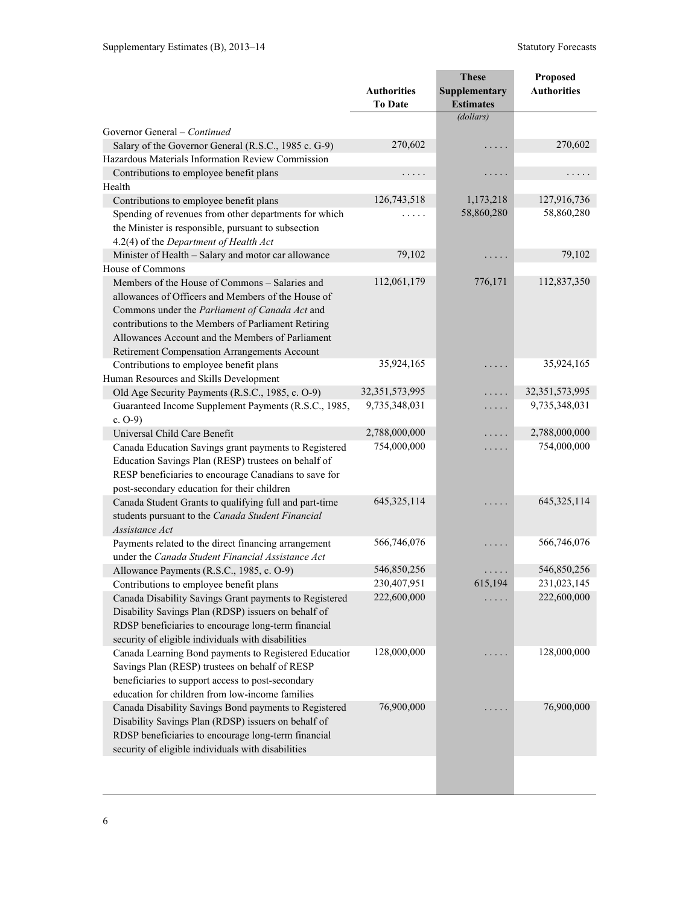|                                                                                                           |                            | <b>These</b>     | Proposed                   |
|-----------------------------------------------------------------------------------------------------------|----------------------------|------------------|----------------------------|
|                                                                                                           | <b>Authorities</b>         | Supplementary    | <b>Authorities</b>         |
|                                                                                                           | <b>To Date</b>             | <b>Estimates</b> |                            |
|                                                                                                           |                            | (dollars)        |                            |
| Governor General – Continued                                                                              | 270,602                    |                  | 270,602                    |
| Salary of the Governor General (R.S.C., 1985 c. G-9)<br>Hazardous Materials Information Review Commission |                            | .                |                            |
|                                                                                                           |                            |                  |                            |
| Contributions to employee benefit plans<br>Health                                                         | .                          | .                | .                          |
| Contributions to employee benefit plans                                                                   | 126,743,518                | 1,173,218        | 127,916,736                |
| Spending of revenues from other departments for which                                                     | .                          | 58,860,280       | 58,860,280                 |
| the Minister is responsible, pursuant to subsection                                                       |                            |                  |                            |
| 4.2(4) of the Department of Health Act                                                                    |                            |                  |                            |
| Minister of Health - Salary and motor car allowance                                                       | 79,102                     | .                | 79,102                     |
| House of Commons                                                                                          |                            |                  |                            |
| Members of the House of Commons - Salaries and                                                            | 112,061,179                | 776,171          | 112,837,350                |
| allowances of Officers and Members of the House of                                                        |                            |                  |                            |
| Commons under the Parliament of Canada Act and                                                            |                            |                  |                            |
| contributions to the Members of Parliament Retiring                                                       |                            |                  |                            |
| Allowances Account and the Members of Parliament                                                          |                            |                  |                            |
| Retirement Compensation Arrangements Account                                                              |                            |                  |                            |
| Contributions to employee benefit plans                                                                   | 35,924,165                 | .                | 35,924,165                 |
| Human Resources and Skills Development                                                                    |                            |                  |                            |
| Old Age Security Payments (R.S.C., 1985, c. O-9)                                                          | 32,351,573,995             | .                | 32,351,573,995             |
| Guaranteed Income Supplement Payments (R.S.C., 1985,                                                      | 9,735,348,031              | .                | 9,735,348,031              |
| c. $O-9$ )                                                                                                |                            |                  |                            |
| Universal Child Care Benefit                                                                              | 2,788,000,000              | .                | 2,788,000,000              |
| Canada Education Savings grant payments to Registered                                                     | 754,000,000                | .                | 754,000,000                |
| Education Savings Plan (RESP) trustees on behalf of                                                       |                            |                  |                            |
| RESP beneficiaries to encourage Canadians to save for                                                     |                            |                  |                            |
| post-secondary education for their children                                                               |                            |                  |                            |
| Canada Student Grants to qualifying full and part-time                                                    | 645, 325, 114              | .                | 645,325,114                |
| students pursuant to the Canada Student Financial                                                         |                            |                  |                            |
| Assistance Act                                                                                            |                            |                  |                            |
| Payments related to the direct financing arrangement                                                      | 566,746,076                | .                | 566,746,076                |
| under the Canada Student Financial Assistance Act                                                         |                            |                  |                            |
| Allowance Payments (R.S.C., 1985, c. O-9)                                                                 | 546,850,256                | .                | 546,850,256                |
| Contributions to employee benefit plans                                                                   | 230,407,951<br>222,600,000 | 615,194          | 231,023,145<br>222,600,000 |
| Canada Disability Savings Grant payments to Registered                                                    |                            |                  |                            |
| Disability Savings Plan (RDSP) issuers on behalf of                                                       |                            |                  |                            |
| RDSP beneficiaries to encourage long-term financial<br>security of eligible individuals with disabilities |                            |                  |                            |
| Canada Learning Bond payments to Registered Education                                                     | 128,000,000                |                  | 128,000,000                |
| Savings Plan (RESP) trustees on behalf of RESP                                                            |                            |                  |                            |
| beneficiaries to support access to post-secondary                                                         |                            |                  |                            |
| education for children from low-income families                                                           |                            |                  |                            |
| Canada Disability Savings Bond payments to Registered                                                     | 76,900,000                 |                  | 76,900,000                 |
| Disability Savings Plan (RDSP) issuers on behalf of                                                       |                            |                  |                            |
| RDSP beneficiaries to encourage long-term financial                                                       |                            |                  |                            |
| security of eligible individuals with disabilities                                                        |                            |                  |                            |
|                                                                                                           |                            |                  |                            |
|                                                                                                           |                            |                  |                            |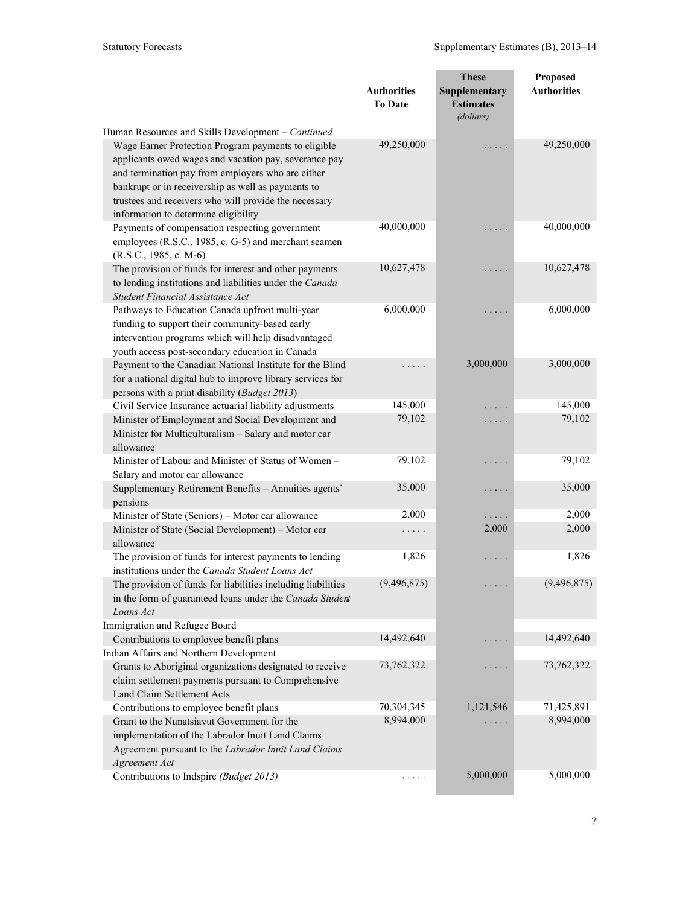|                                                                                                   |                    | <b>These</b>     | Proposed           |
|---------------------------------------------------------------------------------------------------|--------------------|------------------|--------------------|
|                                                                                                   | <b>Authorities</b> | Supplementary    | <b>Authorities</b> |
|                                                                                                   | <b>To Date</b>     | <b>Estimates</b> |                    |
|                                                                                                   |                    | (dollars)        |                    |
| Human Resources and Skills Development – Continued                                                |                    |                  |                    |
| Wage Earner Protection Program payments to eligible                                               | 49,250,000         |                  | 49,250,000         |
| applicants owed wages and vacation pay, severance pay                                             |                    |                  |                    |
| and termination pay from employers who are either                                                 |                    |                  |                    |
| bankrupt or in receivership as well as payments to                                                |                    |                  |                    |
| trustees and receivers who will provide the necessary                                             |                    |                  |                    |
| information to determine eligibility                                                              |                    |                  |                    |
| Payments of compensation respecting government                                                    | 40,000,000         | .                | 40,000,000         |
| employees (R.S.C., 1985, c. G-5) and merchant seamen                                              |                    |                  |                    |
| $(R.S.C., 1985, c. M-6)$                                                                          |                    |                  |                    |
| The provision of funds for interest and other payments                                            | 10,627,478         | .                | 10,627,478         |
| to lending institutions and liabilities under the Canada                                          |                    |                  |                    |
| Student Financial Assistance Act                                                                  | 6,000,000          |                  | 6,000,000          |
| Pathways to Education Canada upfront multi-year<br>funding to support their community-based early |                    |                  |                    |
| intervention programs which will help disadvantaged                                               |                    |                  |                    |
| youth access post-secondary education in Canada                                                   |                    |                  |                    |
| Payment to the Canadian National Institute for the Blind                                          |                    | 3,000,000        | 3,000,000          |
| for a national digital hub to improve library services for                                        |                    |                  |                    |
| persons with a print disability (Budget 2013)                                                     |                    |                  |                    |
| Civil Service Insurance actuarial liability adjustments                                           | 145,000            |                  | 145,000            |
| Minister of Employment and Social Development and                                                 | 79,102             | .                | 79,102             |
| Minister for Multiculturalism - Salary and motor car                                              |                    |                  |                    |
| allowance                                                                                         |                    |                  |                    |
| Minister of Labour and Minister of Status of Women -                                              | 79,102             | .                | 79,102             |
| Salary and motor car allowance                                                                    |                    |                  |                    |
| Supplementary Retirement Benefits - Annuities agents'                                             | 35,000             | .                | 35,000             |
| pensions                                                                                          |                    |                  |                    |
| Minister of State (Seniors) - Motor car allowance                                                 | 2,000              | . .              | 2,000              |
| Minister of State (Social Development) - Motor car                                                | .                  | 2,000            | 2,000              |
| allowance                                                                                         |                    |                  |                    |
| The provision of funds for interest payments to lending                                           | 1,826              | .                | 1,826              |
| institutions under the Canada Student Loans Act                                                   | (9, 496, 875)      |                  |                    |
| The provision of funds for liabilities including liabilities                                      |                    |                  | (9, 496, 875)      |
| in the form of guaranteed loans under the Canada Student<br>Loans Act                             |                    |                  |                    |
| Immigration and Refugee Board                                                                     |                    |                  |                    |
| Contributions to employee benefit plans                                                           | 14,492,640         |                  | 14,492,640         |
| Indian Affairs and Northern Development                                                           |                    |                  |                    |
| Grants to Aboriginal organizations designated to receive                                          | 73,762,322         |                  | 73,762,322         |
| claim settlement payments pursuant to Comprehensive                                               |                    |                  |                    |
| Land Claim Settlement Acts                                                                        |                    |                  |                    |
| Contributions to employee benefit plans                                                           | 70,304,345         | 1,121,546        | 71,425,891         |
| Grant to the Nunatsiavut Government for the                                                       | 8,994,000          |                  | 8,994,000          |
| implementation of the Labrador Inuit Land Claims                                                  |                    |                  |                    |
| Agreement pursuant to the Labrador Inuit Land Claims                                              |                    |                  |                    |
| Agreement Act                                                                                     |                    |                  |                    |
| Contributions to Indspire (Budget 2013)                                                           | .                  | 5,000,000        | 5,000,000          |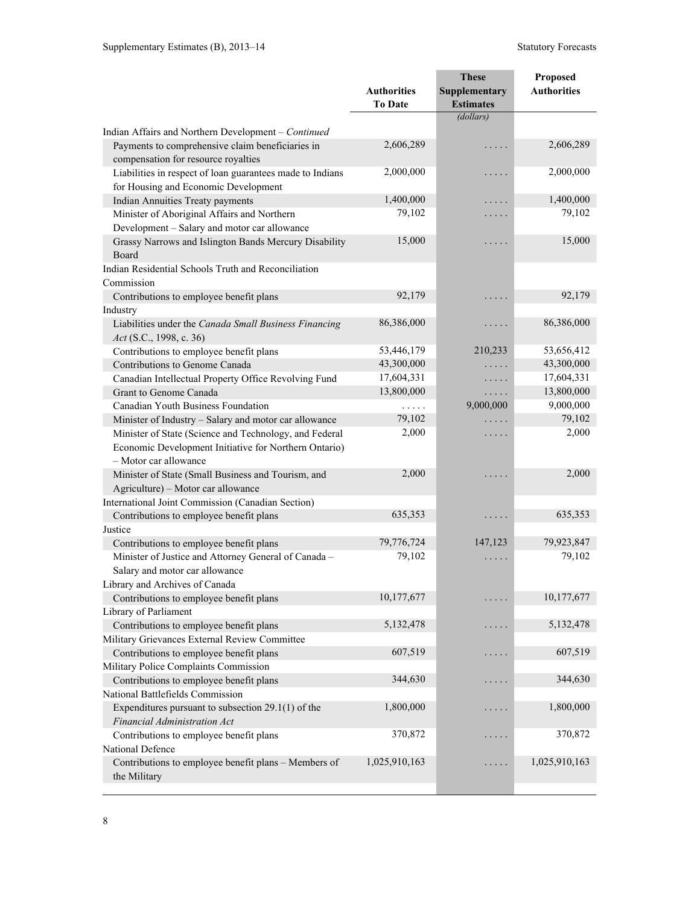|                                                                                |                    | <b>These</b>     | Proposed           |
|--------------------------------------------------------------------------------|--------------------|------------------|--------------------|
|                                                                                | <b>Authorities</b> | Supplementary    | <b>Authorities</b> |
|                                                                                | <b>To Date</b>     | <b>Estimates</b> |                    |
|                                                                                |                    | (dollars)        |                    |
| Indian Affairs and Northern Development - Continued                            |                    |                  |                    |
| Payments to comprehensive claim beneficiaries in                               | 2,606,289          | .                | 2,606,289          |
| compensation for resource royalties                                            |                    |                  |                    |
| Liabilities in respect of loan guarantees made to Indians                      | 2,000,000          | .                | 2,000,000          |
| for Housing and Economic Development                                           |                    |                  |                    |
| <b>Indian Annuities Treaty payments</b>                                        | 1,400,000          | .                | 1,400,000          |
| Minister of Aboriginal Affairs and Northern                                    | 79,102             | .                | 79,102             |
| Development - Salary and motor car allowance                                   |                    |                  |                    |
| Grassy Narrows and Islington Bands Mercury Disability                          | 15,000             | .                | 15,000             |
| Board                                                                          |                    |                  |                    |
| Indian Residential Schools Truth and Reconciliation                            |                    |                  |                    |
| Commission                                                                     |                    |                  |                    |
| Contributions to employee benefit plans                                        | 92,179             | .                | 92,179             |
| Industry                                                                       |                    |                  |                    |
| Liabilities under the Canada Small Business Financing                          | 86,386,000         | .                | 86,386,000         |
| Act (S.C., 1998, c. 36)                                                        | 53,446,179         | 210,233          | 53,656,412         |
| Contributions to employee benefit plans<br>Contributions to Genome Canada      | 43,300,000         |                  | 43,300,000         |
|                                                                                | 17,604,331         | .                | 17,604,331         |
| Canadian Intellectual Property Office Revolving Fund<br>Grant to Genome Canada | 13,800,000         | .                | 13,800,000         |
| Canadian Youth Business Foundation                                             | .                  | .<br>9,000,000   | 9,000,000          |
| Minister of Industry - Salary and motor car allowance                          | 79,102             |                  | 79,102             |
| Minister of State (Science and Technology, and Federal                         | 2,000              | .                | 2,000              |
| Economic Development Initiative for Northern Ontario)                          |                    | .                |                    |
| - Motor car allowance                                                          |                    |                  |                    |
| Minister of State (Small Business and Tourism, and                             | 2,000              | .                | 2,000              |
| Agriculture) – Motor car allowance                                             |                    |                  |                    |
| International Joint Commission (Canadian Section)                              |                    |                  |                    |
| Contributions to employee benefit plans                                        | 635,353            | .                | 635,353            |
| Justice                                                                        |                    |                  |                    |
| Contributions to employee benefit plans                                        | 79,776,724         | 147,123          | 79,923,847         |
| Minister of Justice and Attorney General of Canada -                           | 79,102             | .                | 79,102             |
| Salary and motor car allowance                                                 |                    |                  |                    |
| Library and Archives of Canada                                                 |                    |                  |                    |
| Contributions to employee benefit plans                                        | 10,177,677         |                  | 10,177,677         |
| Library of Parliament                                                          |                    |                  |                    |
| Contributions to employee benefit plans                                        | 5, 132, 478        | .                | 5, 132, 478        |
| Military Grievances External Review Committee                                  |                    |                  |                    |
| Contributions to employee benefit plans                                        | 607,519            | .                | 607,519            |
| Military Police Complaints Commission                                          |                    |                  |                    |
| Contributions to employee benefit plans                                        | 344,630            | .                | 344,630            |
| National Battlefields Commission                                               |                    |                  |                    |
| Expenditures pursuant to subsection $29.1(1)$ of the                           | 1,800,000          | $\cdots$         | 1,800,000          |
| Financial Administration Act                                                   |                    |                  |                    |
| Contributions to employee benefit plans                                        | 370,872            | $\cdots$         | 370,872            |
| National Defence                                                               |                    |                  |                    |
| Contributions to employee benefit plans - Members of                           | 1,025,910,163      |                  | 1,025,910,163      |
| the Military                                                                   |                    |                  |                    |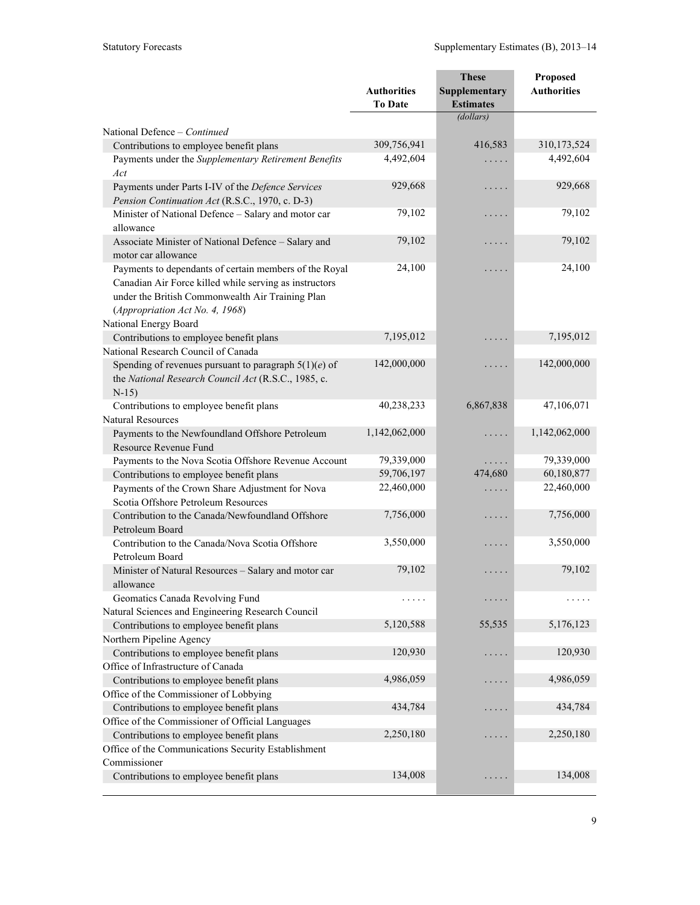|                                                         |                    | <b>These</b>         | Proposed           |
|---------------------------------------------------------|--------------------|----------------------|--------------------|
|                                                         | <b>Authorities</b> | <b>Supplementary</b> | <b>Authorities</b> |
|                                                         | <b>To Date</b>     | <b>Estimates</b>     |                    |
|                                                         |                    | (dollars)            |                    |
| National Defence - Continued                            |                    |                      |                    |
| Contributions to employee benefit plans                 | 309,756,941        | 416,583              | 310,173,524        |
| Payments under the Supplementary Retirement Benefits    | 4,492,604          | .                    | 4,492,604          |
| Act                                                     |                    |                      |                    |
| Payments under Parts I-IV of the Defence Services       | 929,668            | .                    | 929,668            |
| Pension Continuation Act (R.S.C., 1970, c. D-3)         |                    |                      |                    |
| Minister of National Defence - Salary and motor car     | 79,102             | .                    | 79,102             |
| allowance                                               |                    |                      |                    |
| Associate Minister of National Defence - Salary and     | 79,102             | .                    | 79,102             |
| motor car allowance                                     |                    |                      |                    |
| Payments to dependants of certain members of the Royal  | 24,100             | .                    | 24,100             |
| Canadian Air Force killed while serving as instructors  |                    |                      |                    |
| under the British Commonwealth Air Training Plan        |                    |                      |                    |
| (Appropriation Act No. 4, 1968)                         |                    |                      |                    |
| National Energy Board                                   |                    |                      |                    |
| Contributions to employee benefit plans                 | 7,195,012          | .                    | 7,195,012          |
| National Research Council of Canada                     |                    |                      |                    |
| Spending of revenues pursuant to paragraph $5(1)(e)$ of | 142,000,000        | .                    | 142,000,000        |
| the National Research Council Act (R.S.C., 1985, c.     |                    |                      |                    |
| $N-15$                                                  |                    |                      |                    |
| Contributions to employee benefit plans                 | 40,238,233         | 6,867,838            | 47,106,071         |
| <b>Natural Resources</b>                                |                    |                      |                    |
| Payments to the Newfoundland Offshore Petroleum         | 1,142,062,000      | .                    | 1,142,062,000      |
| Resource Revenue Fund                                   |                    |                      |                    |
| Payments to the Nova Scotia Offshore Revenue Account    | 79,339,000         | .                    | 79,339,000         |
| Contributions to employee benefit plans                 | 59,706,197         | 474,680              | 60,180,877         |
| Payments of the Crown Share Adjustment for Nova         | 22,460,000         | .                    | 22,460,000         |
| Scotia Offshore Petroleum Resources                     |                    |                      |                    |
| Contribution to the Canada/Newfoundland Offshore        | 7,756,000          | .                    | 7,756,000          |
| Petroleum Board                                         |                    |                      |                    |
| Contribution to the Canada/Nova Scotia Offshore         | 3,550,000          | .                    | 3,550,000          |
| Petroleum Board                                         |                    |                      |                    |
| Minister of Natural Resources - Salary and motor car    | 79,102             | .                    | 79,102             |
| allowance                                               |                    |                      |                    |
| Geomatics Canada Revolving Fund                         | .                  |                      |                    |
| Natural Sciences and Engineering Research Council       |                    |                      |                    |
| Contributions to employee benefit plans                 | 5,120,588          | 55,535               | 5,176,123          |
| Northern Pipeline Agency                                |                    |                      |                    |
| Contributions to employee benefit plans                 | 120,930            | .                    | 120,930            |
| Office of Infrastructure of Canada                      |                    |                      |                    |
| Contributions to employee benefit plans                 | 4,986,059          | .                    | 4,986,059          |
| Office of the Commissioner of Lobbying                  |                    |                      |                    |
| Contributions to employee benefit plans                 | 434,784            |                      | 434,784            |
| Office of the Commissioner of Official Languages        |                    |                      |                    |
| Contributions to employee benefit plans                 | 2,250,180          |                      | 2,250,180          |
| Office of the Communications Security Establishment     |                    |                      |                    |
| Commissioner                                            |                    |                      |                    |
| Contributions to employee benefit plans                 | 134,008            | .                    | 134,008            |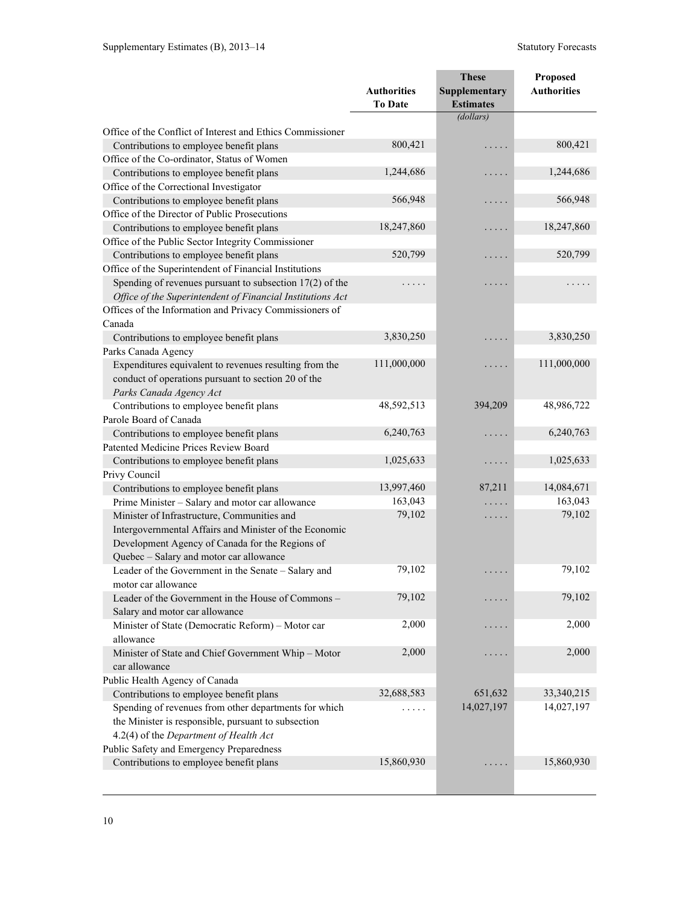|                                                            | <b>Authorities</b> | <b>These</b><br>Supplementary | Proposed<br><b>Authorities</b> |
|------------------------------------------------------------|--------------------|-------------------------------|--------------------------------|
|                                                            | <b>To Date</b>     | <b>Estimates</b>              |                                |
|                                                            |                    | (dollars)                     |                                |
| Office of the Conflict of Interest and Ethics Commissioner |                    |                               |                                |
| Contributions to employee benefit plans                    | 800,421            | .                             | 800,421                        |
| Office of the Co-ordinator, Status of Women                |                    |                               |                                |
| Contributions to employee benefit plans                    | 1,244,686          | .                             | 1,244,686                      |
| Office of the Correctional Investigator                    |                    |                               |                                |
| Contributions to employee benefit plans                    | 566,948            | .                             | 566,948                        |
| Office of the Director of Public Prosecutions              |                    |                               |                                |
| Contributions to employee benefit plans                    | 18,247,860         | .                             | 18,247,860                     |
| Office of the Public Sector Integrity Commissioner         |                    |                               |                                |
| Contributions to employee benefit plans                    | 520,799            | .                             | 520,799                        |
| Office of the Superintendent of Financial Institutions     |                    |                               |                                |
| Spending of revenues pursuant to subsection $17(2)$ of the | .                  | .                             | .                              |
| Office of the Superintendent of Financial Institutions Act |                    |                               |                                |
| Offices of the Information and Privacy Commissioners of    |                    |                               |                                |
| Canada                                                     |                    |                               |                                |
| Contributions to employee benefit plans                    | 3,830,250          | .                             | 3,830,250                      |
| Parks Canada Agency                                        |                    |                               |                                |
| Expenditures equivalent to revenues resulting from the     | 111,000,000        | .                             | 111,000,000                    |
| conduct of operations pursuant to section 20 of the        |                    |                               |                                |
| Parks Canada Agency Act                                    |                    |                               |                                |
| Contributions to employee benefit plans                    | 48,592,513         | 394,209                       | 48,986,722                     |
| Parole Board of Canada                                     |                    |                               |                                |
| Contributions to employee benefit plans                    | 6,240,763          | .                             | 6,240,763                      |
| Patented Medicine Prices Review Board                      |                    |                               |                                |
| Contributions to employee benefit plans                    | 1,025,633          | .                             | 1,025,633                      |
| Privy Council                                              |                    |                               |                                |
| Contributions to employee benefit plans                    | 13,997,460         | 87,211                        | 14,084,671                     |
| Prime Minister - Salary and motor car allowance            | 163,043            | .                             | 163,043                        |
| Minister of Infrastructure, Communities and                | 79,102             | $\cdots$                      | 79,102                         |
| Intergovernmental Affairs and Minister of the Economic     |                    |                               |                                |
| Development Agency of Canada for the Regions of            |                    |                               |                                |
| Quebec - Salary and motor car allowance                    |                    |                               |                                |
| Leader of the Government in the Senate - Salary and        | 79,102             | .                             | 79,102                         |
| motor car allowance                                        |                    |                               |                                |
| Leader of the Government in the House of Commons -         | 79,102             | $\cdot$                       | 79,102                         |
| Salary and motor car allowance                             |                    |                               |                                |
| Minister of State (Democratic Reform) - Motor car          | 2,000              | $\cdots$                      | 2,000                          |
| allowance                                                  |                    |                               |                                |
| Minister of State and Chief Government Whip - Motor        | 2,000              | .                             | 2,000                          |
| car allowance                                              |                    |                               |                                |
| Public Health Agency of Canada                             |                    |                               |                                |
| Contributions to employee benefit plans                    | 32,688,583         | 651,632                       | 33,340,215                     |
| Spending of revenues from other departments for which      | .                  | 14,027,197                    | 14,027,197                     |
| the Minister is responsible, pursuant to subsection        |                    |                               |                                |
| 4.2(4) of the Department of Health Act                     |                    |                               |                                |
| Public Safety and Emergency Preparedness                   |                    |                               |                                |
| Contributions to employee benefit plans                    | 15,860,930         |                               | 15,860,930                     |
|                                                            |                    |                               |                                |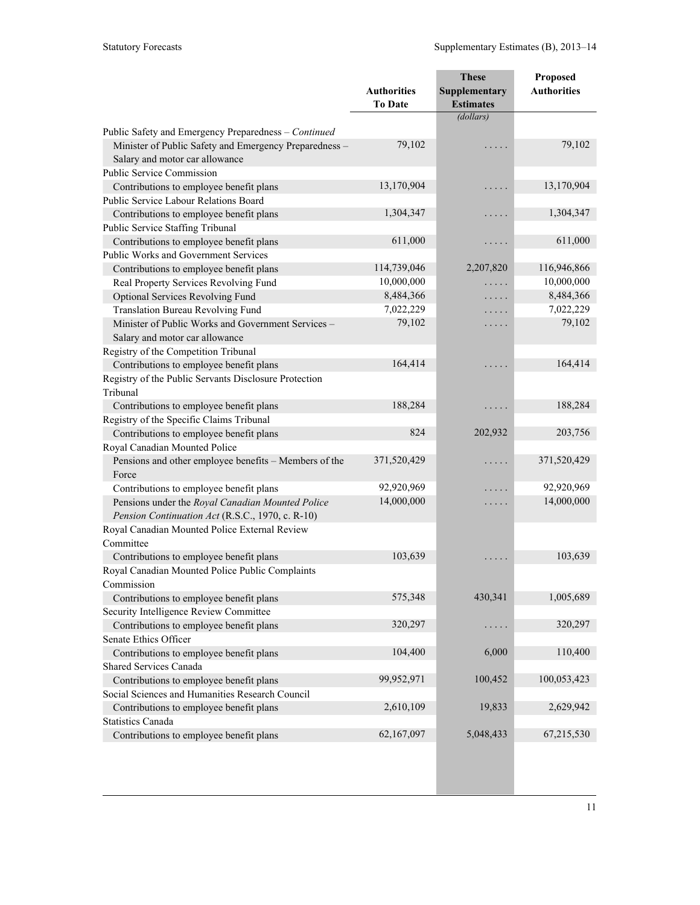|                                                                                                                                                  |                                      | <b>These</b>                      | Proposed           |
|--------------------------------------------------------------------------------------------------------------------------------------------------|--------------------------------------|-----------------------------------|--------------------|
|                                                                                                                                                  | <b>Authorities</b><br><b>To Date</b> | Supplementary<br><b>Estimates</b> | <b>Authorities</b> |
|                                                                                                                                                  |                                      | (dollars)                         |                    |
| Public Safety and Emergency Preparedness - Continued<br>Minister of Public Safety and Emergency Preparedness -<br>Salary and motor car allowance | 79,102                               | .                                 | 79,102             |
| Public Service Commission                                                                                                                        |                                      |                                   |                    |
| Contributions to employee benefit plans                                                                                                          | 13,170,904                           | $\cdots$                          | 13,170,904         |
| Public Service Labour Relations Board                                                                                                            |                                      |                                   |                    |
| Contributions to employee benefit plans                                                                                                          | 1,304,347                            | .                                 | 1,304,347          |
| Public Service Staffing Tribunal                                                                                                                 |                                      |                                   |                    |
| Contributions to employee benefit plans                                                                                                          | 611,000                              | .                                 | 611,000            |
| <b>Public Works and Government Services</b>                                                                                                      |                                      |                                   |                    |
| Contributions to employee benefit plans                                                                                                          | 114,739,046                          | 2,207,820                         | 116,946,866        |
| Real Property Services Revolving Fund                                                                                                            | 10,000,000                           | .                                 | 10,000,000         |
| Optional Services Revolving Fund                                                                                                                 | 8,484,366                            | $\cdots$                          | 8,484,366          |
| Translation Bureau Revolving Fund                                                                                                                | 7,022,229                            | $\cdots$                          | 7,022,229          |
| Minister of Public Works and Government Services -                                                                                               | 79,102                               | .                                 | 79,102             |
| Salary and motor car allowance                                                                                                                   |                                      |                                   |                    |
| Registry of the Competition Tribunal                                                                                                             |                                      |                                   |                    |
| Contributions to employee benefit plans                                                                                                          | 164,414                              | .                                 | 164,414            |
| Registry of the Public Servants Disclosure Protection                                                                                            |                                      |                                   |                    |
| Tribunal                                                                                                                                         |                                      |                                   |                    |
| Contributions to employee benefit plans                                                                                                          | 188,284                              | $\cdots$                          | 188,284            |
| Registry of the Specific Claims Tribunal                                                                                                         |                                      |                                   |                    |
| Contributions to employee benefit plans                                                                                                          | 824                                  | 202,932                           | 203,756            |
| Royal Canadian Mounted Police                                                                                                                    |                                      |                                   |                    |
| Pensions and other employee benefits - Members of the                                                                                            | 371,520,429                          | $\cdots$                          | 371,520,429        |
| Force                                                                                                                                            |                                      |                                   |                    |
| Contributions to employee benefit plans                                                                                                          | 92,920,969                           | .                                 | 92,920,969         |
| Pensions under the Royal Canadian Mounted Police                                                                                                 | 14,000,000                           | $\cdots$                          | 14,000,000         |
| Pension Continuation Act (R.S.C., 1970, c. R-10)                                                                                                 |                                      |                                   |                    |
| Royal Canadian Mounted Police External Review                                                                                                    |                                      |                                   |                    |
| Committee                                                                                                                                        |                                      |                                   |                    |
| Contributions to employee benefit plans                                                                                                          | 103,639                              | .                                 | 103,639            |
| Royal Canadian Mounted Police Public Complaints                                                                                                  |                                      |                                   |                    |
| Commission                                                                                                                                       |                                      |                                   |                    |
| Contributions to employee benefit plans                                                                                                          | 575,348                              | 430,341                           | 1,005,689          |
| Security Intelligence Review Committee                                                                                                           |                                      |                                   |                    |
| Contributions to employee benefit plans                                                                                                          | 320,297                              | $\cdots$                          | 320,297            |
| Senate Ethics Officer                                                                                                                            |                                      |                                   |                    |
| Contributions to employee benefit plans                                                                                                          | 104,400                              | 6,000                             | 110,400            |
| <b>Shared Services Canada</b>                                                                                                                    |                                      |                                   |                    |
| Contributions to employee benefit plans                                                                                                          | 99,952,971                           | 100,452                           | 100,053,423        |
| Social Sciences and Humanities Research Council                                                                                                  |                                      |                                   |                    |
| Contributions to employee benefit plans                                                                                                          | 2,610,109                            | 19,833                            | 2,629,942          |
| <b>Statistics Canada</b>                                                                                                                         |                                      |                                   |                    |
| Contributions to employee benefit plans                                                                                                          | 62,167,097                           | 5,048,433                         | 67,215,530         |
|                                                                                                                                                  |                                      |                                   |                    |
|                                                                                                                                                  |                                      |                                   |                    |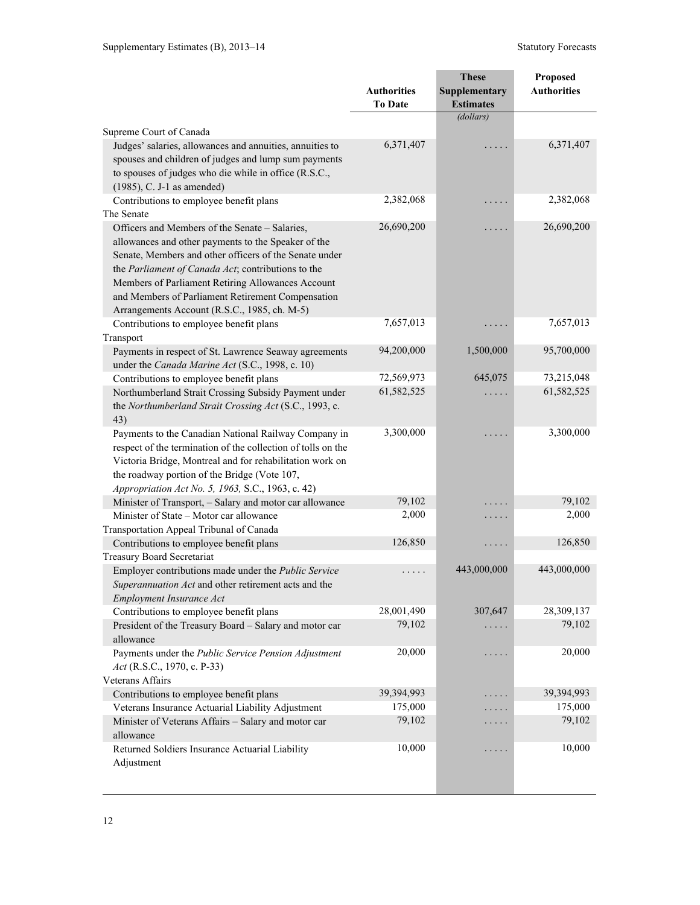|                                                                                                                                                                                                                                                                                                                                                                                 |                                      | <b>These</b>                      | <b>Proposed</b>    |
|---------------------------------------------------------------------------------------------------------------------------------------------------------------------------------------------------------------------------------------------------------------------------------------------------------------------------------------------------------------------------------|--------------------------------------|-----------------------------------|--------------------|
|                                                                                                                                                                                                                                                                                                                                                                                 | <b>Authorities</b><br><b>To Date</b> | Supplementary<br><b>Estimates</b> | <b>Authorities</b> |
|                                                                                                                                                                                                                                                                                                                                                                                 |                                      | (dollars)                         |                    |
| Supreme Court of Canada                                                                                                                                                                                                                                                                                                                                                         |                                      |                                   |                    |
| Judges' salaries, allowances and annuities, annuities to<br>spouses and children of judges and lump sum payments<br>to spouses of judges who die while in office (R.S.C.,<br>$(1985)$ , C. J-1 as amended)                                                                                                                                                                      | 6,371,407                            | .                                 | 6,371,407          |
| Contributions to employee benefit plans                                                                                                                                                                                                                                                                                                                                         | 2,382,068                            | .                                 | 2,382,068          |
| The Senate                                                                                                                                                                                                                                                                                                                                                                      |                                      |                                   |                    |
| Officers and Members of the Senate - Salaries,<br>allowances and other payments to the Speaker of the<br>Senate, Members and other officers of the Senate under<br>the Parliament of Canada Act; contributions to the<br>Members of Parliament Retiring Allowances Account<br>and Members of Parliament Retirement Compensation<br>Arrangements Account (R.S.C., 1985, ch. M-5) | 26,690,200                           | .                                 | 26,690,200         |
| Contributions to employee benefit plans                                                                                                                                                                                                                                                                                                                                         | 7,657,013                            | .                                 | 7,657,013          |
| Transport                                                                                                                                                                                                                                                                                                                                                                       |                                      |                                   |                    |
| Payments in respect of St. Lawrence Seaway agreements                                                                                                                                                                                                                                                                                                                           | 94,200,000                           | 1,500,000                         | 95,700,000         |
| under the Canada Marine Act (S.C., 1998, c. 10)                                                                                                                                                                                                                                                                                                                                 |                                      |                                   |                    |
| Contributions to employee benefit plans                                                                                                                                                                                                                                                                                                                                         | 72,569,973                           | 645,075                           | 73,215,048         |
| Northumberland Strait Crossing Subsidy Payment under<br>the Northumberland Strait Crossing Act (S.C., 1993, c.<br>43)                                                                                                                                                                                                                                                           | 61,582,525                           |                                   | 61,582,525         |
| Payments to the Canadian National Railway Company in<br>respect of the termination of the collection of tolls on the<br>Victoria Bridge, Montreal and for rehabilitation work on<br>the roadway portion of the Bridge (Vote 107,<br>Appropriation Act No. 5, 1963, S.C., 1963, c. 42)                                                                                           | 3,300,000                            | .                                 | 3,300,000          |
| Minister of Transport, - Salary and motor car allowance                                                                                                                                                                                                                                                                                                                         | 79,102                               | $\cdot$                           | 79,102             |
| Minister of State – Motor car allowance                                                                                                                                                                                                                                                                                                                                         | 2,000                                | $\cdots$                          | 2,000              |
| Transportation Appeal Tribunal of Canada                                                                                                                                                                                                                                                                                                                                        |                                      |                                   |                    |
| Contributions to employee benefit plans                                                                                                                                                                                                                                                                                                                                         | 126,850                              | $\cdots$                          | 126,850            |
| <b>Treasury Board Secretariat</b>                                                                                                                                                                                                                                                                                                                                               |                                      |                                   |                    |
| Employer contributions made under the Public Service<br>Superannuation Act and other retirement acts and the<br>Employment Insurance Act                                                                                                                                                                                                                                        | .                                    | 443,000,000                       | 443,000,000        |
| Contributions to employee benefit plans                                                                                                                                                                                                                                                                                                                                         | 28,001,490                           | 307,647                           | 28,309,137         |
| President of the Treasury Board - Salary and motor car<br>allowance                                                                                                                                                                                                                                                                                                             | 79,102                               |                                   | 79,102             |
| Payments under the Public Service Pension Adjustment<br>Act (R.S.C., 1970, c. P-33)                                                                                                                                                                                                                                                                                             | 20,000                               | .                                 | 20,000             |
| Veterans Affairs                                                                                                                                                                                                                                                                                                                                                                |                                      |                                   |                    |
| Contributions to employee benefit plans                                                                                                                                                                                                                                                                                                                                         | 39,394,993                           | $\cdots$                          | 39,394,993         |
| Veterans Insurance Actuarial Liability Adjustment                                                                                                                                                                                                                                                                                                                               | 175,000                              | .                                 | 175,000            |
| Minister of Veterans Affairs - Salary and motor car<br>allowance                                                                                                                                                                                                                                                                                                                | 79,102                               | .                                 | 79,102             |
| Returned Soldiers Insurance Actuarial Liability<br>Adjustment                                                                                                                                                                                                                                                                                                                   | 10,000                               | .                                 | 10,000             |